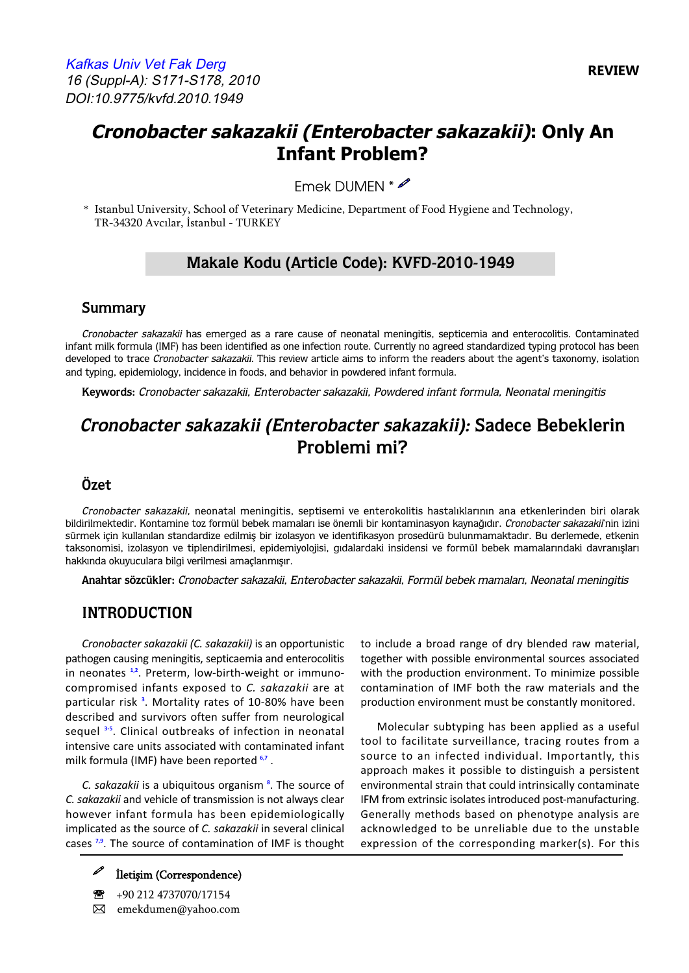# **Cronobacter sakazakii (Enterobacter sakazakii): Only An Infant Problem?**

Emek DUMEN \*

\* Istanbul University, School of Veterinary Medicine, Department of Food Hygiene and Technology, TR-34320 Avcılar, İstanbul - TURKEY

### **Makale Kodu (Article Code): KVFD-2010-1949**

#### **Summary**

Cronobacter sakazakii has emerged as a rare cause of neonatal meningitis, septicemia and enterocolitis. Contaminated infant milk formula (IMF) has been identified as one infection route. Currently no agreed standardized typing protocol has been developed to trace Cronobacter sakazakii. This review article aims to inform the readers about the agent's taxonomy, isolation and typing, epidemiology, incidence in foods, and behavior in powdered infant formula.

**Keywords:** Cronobacter sakazakii, Enterobacter sakazakii, Powdered infant formula, Neonatal meningitis

# **Cronobacter sakazakii (Enterobacter sakazakii): Sadece Bebeklerin Problemi mi?**

#### **Özet**

Cronobacter sakazakii, neonatal meningitis, septisemi ve enterokolitis hastalıklarının ana etkenlerinden biri olarak bildirilmektedir. Kontamine toz formül bebek mamaları ise önemli bir kontaminasyon kaynağıdır. Cronobacter sakazakii'nin izini sürmek için kullanılan standardize edilmiş bir izolasyon ve identifikasyon prosedürü bulunmamaktadır. Bu derlemede, etkenin taksonomisi, izolasyon ve tiplendirilmesi, epidemiyolojisi, gıdalardaki insidensi ve formül bebek mamalarındaki davranışları hakkında okuyuculara bilgi verilmesi amaçlanmışır.

**Anahtar sözcükler:** Cronobacter sakazakii, Enterobacter sakazakii, Formül bebek mamaları, Neonatal meningitis

#### **INTRODUCTION**

*Cronobacter sakazakii (C. sakazakii)* is an opportunistic pathogen causing meningitis, septicaemia and enterocolitis in neonates **[1,2](#page-6-0)**. Preterm, low-birth-weight or immunocompromised infants exposed to *C. sakazakii* are at particular risk **[3](#page-6-0)** . Mortality rates of 10-80% have been described and survivors often suffer from neurological sequel **[3-5](#page-6-0)**. Clinical outbreaks of infection in neonatal intensive care units associated with contaminated infant milk formula (IMF) have been reported **[6,7](#page-6-0)** .

*C. sakazakii* is a ubiquitous organism **[8](#page-6-0)** . The source of *C. sakazakii* and vehicle of transmission is not always clear however infant formula has been epidemiologically implicated as the source of *C. sakazakii* in several clinical cases **[7,9](#page-6-0)**. The source of contamination of IMF is thought

> e<br>1 İletişim (Correspondence)

℡ +90 212 4737070/17154 � emekdumen@yahoo.com to include a broad range of dry blended raw material, together with possible environmental sources associated with the production environment. To minimize possible contamination of IMF both the raw materials and the production environment must be constantly monitored.

Molecular subtyping has been applied as a useful tool to facilitate surveillance, tracing routes from a source to an infected individual. Importantly, this approach makes it possible to distinguish a persistent environmental strain that could intrinsically contaminate IFM from extrinsic isolates introduced post-manufacturing. Generally methods based on phenotype analysis are acknowledged to be unreliable due to the unstable expression of the corresponding marker(s). For this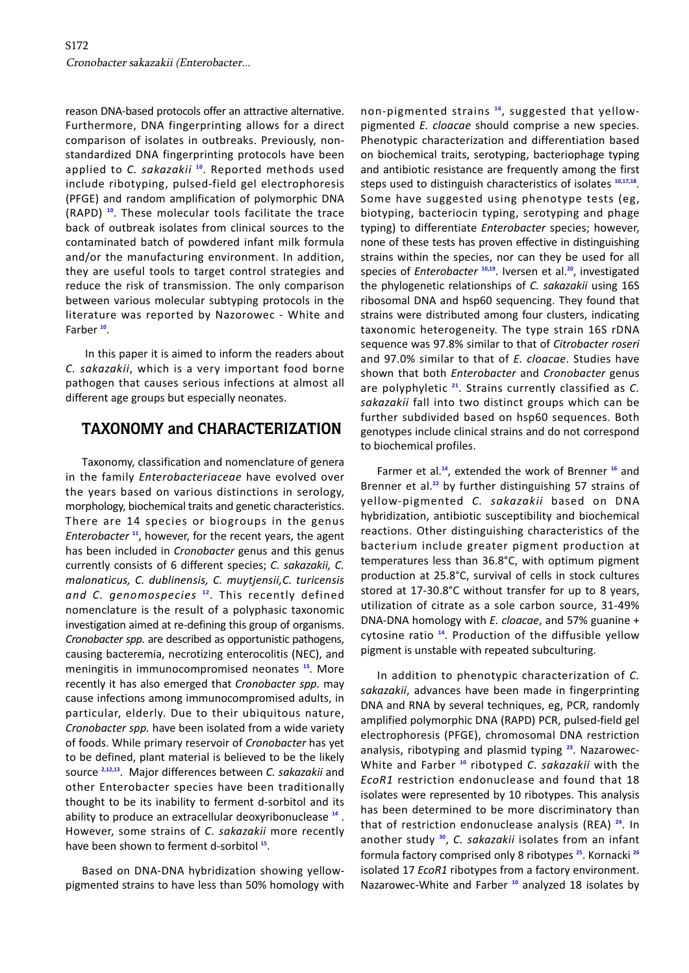reason DNA-based protocols offer an attractive alternative. Furthermore, DNA fingerprinting allows for a direct comparison of isolates in outbreaks. Previously, nonstandardized DNA fingerprinting protocols have been applied to *C. sakazakii* **[10](#page-6-0)**. Reported methods used include ribotyping, pulsed-field gel electrophoresis (PFGE) and random amplification of polymorphic DNA (RAPD) **[10](#page-6-0)**. These molecular tools facilitate the trace back of outbreak isolates from clinical sources to the contaminated batch of powdered infant milk formula and/or the manufacturing environment. In addition, they are useful tools to target control strategies and reduce the risk of transmission. The only comparison between various molecular subtyping protocols in the literature was reported by Nazorowec - White and Farber **[10](#page-6-0)**.

In this paper it is aimed to inform the readers about *C. sakazakii*, which is a very important food borne pathogen that causes serious infections at almost all different age groups but especially neonates.

### **TAXONOMY and CHARACTERIZATION**

Taxonomy, classification and nomenclature of genera in the family *Enterobacteriaceae* have evolved over the years based on various distinctions in serology, morphology, biochemical traits and genetic characteristics. There are 14 species or biogroups in the genus *Enterobacter* **[11](#page-6-0)**, however, for the recent years, the agent has been included in *Cronobacter* genus and this genus currently consists of 6 different species; *C. sakazakii, C. malonaticus, C. dublinensis, C. muytjensii,C. turicensis and C. genomospecies* **[12](#page-6-0)**. This recently defined nomenclature is the result of a polyphasic taxonomic investigation aimed at re-defining this group of organisms. *Cronobacter spp.* are described as opportunistic pathogens, causing bacteremia, necrotizing enterocolitis (NEC), and meningitis in immunocompromised neonates **[13](#page-6-0)**. More recently it has also emerged that *Cronobacter spp.* may cause infections among immunocompromised adults, in particular, elderly. Due to their ubiquitous nature, *Cronobacter spp.* have been isolated from a wide variety of foods. While primary reservoir of *Cronobacter* has yet to be defined, plant material is believed to be the likely source **[2](#page-6-0),[12,13](#page-6-0)**. Major differences between *C. sakazakii* and other Enterobacter species have been traditionally thought to be its inability to ferment d-sorbitol and its ability to produce an extracellular deoxyribonuclease **[14](#page-6-0)** . However, some strains of *C. sakazakii* more recently have been shown to ferment d-sorbitol **[15](#page-6-0)**.

Based on DNA-DNA hybridization showing yellowpigmented strains to have less than 50% homology with non-pigmented strains **[16](#page-6-0)**, suggested that yellowpigmented *E. cloacae* should comprise a new species. Phenotypic characterization and differentiation based on biochemical traits, serotyping, bacteriophage typing and antibiotic resistance are frequently among the first steps used to distinguish characteristics of isolates **[10,17,18](#page-6-0)**. Some have suggested using phenotype tests (eg, biotyping, bacteriocin typing, serotyping and phage typing) to differentiate *Enterobacter* species; however, none of these tests has proven effective in distinguishing strains within the species, nor can they be used for all species of *Enterobacter* **[10,19](#page-6-0)**. Iversen et al.**[20](#page-6-0)**, investigated the phylogenetic relationships of *C. sakazakii* using 16S ribosomal DNA and hsp60 sequencing. They found that strains were distributed among four clusters, indicating taxonomic heterogeneity. The type strain 16S rDNA sequence was 97.8% similar to that of *Citrobacter roseri*  and 97.0% similar to that of *E. cloacae*. Studies have shown that both *Enterobacter* and *Cronobacter* genus are polyphyletic **[21](#page-6-0)**. Strains currently classified as *C. sakazakii* fall into two distinct groups which can be further subdivided based on hsp60 sequences. Both genotypes include clinical strains and do not correspond to biochemical profiles.

Farmer et al.**[14](#page-6-0)**, extended the work of Brenner **[16](#page-6-0)** and Brenner et al.**[22](#page-6-0)** by further distinguishing 57 strains of yellow-pigmented *C. sakazakii* based on DNA hybridization, antibiotic susceptibility and biochemical reactions. Other distinguishing characteristics of the bacterium include greater pigment production at temperatures less than 36.8°C, with optimum pigment production at 25.8°C, survival of cells in stock cultures stored at 17-30.8°C without transfer for up to 8 years, utilization of citrate as a sole carbon source, 31-49% DNA-DNA homology with *E. cloacae*, and 57% guanine + cytosine ratio **[14](#page-6-0)**. Production of the diffusible yellow pigment is unstable with repeated subculturing.

In addition to phenotypic characterization of *C. sakazakii*, advances have been made in fingerprinting DNA and RNA by several techniques, eg, PCR, randomly amplified polymorphic DNA (RAPD) PCR, pulsed-field gel electrophoresis (PFGE), chromosomal DNA restriction analysis, ribotyping and plasmid typing **[23](#page-6-0)**. Nazarowec-White and Farber **[10](#page-6-0)** ribotyped *C. sakazakii* with the *EcoR1* restriction endonuclease and found that 18 isolates were represented by 10 ribotypes. This analysis has been determined to be more discriminatory than that of restriction endonuclease analysis (REA) **[24](#page-6-0)**. In another study **[30](#page-6-0)**, *C. sakazakii* isolates from an infant formula factory comprised only 8 ribotypes **[25](#page-6-0)**. Kornacki **[26](#page-6-0)** isolated 17 *EcoR1* ribotypes from a factory environment. Nazarowec-White and Farber **[10](#page-6-0)** analyzed 18 isolates by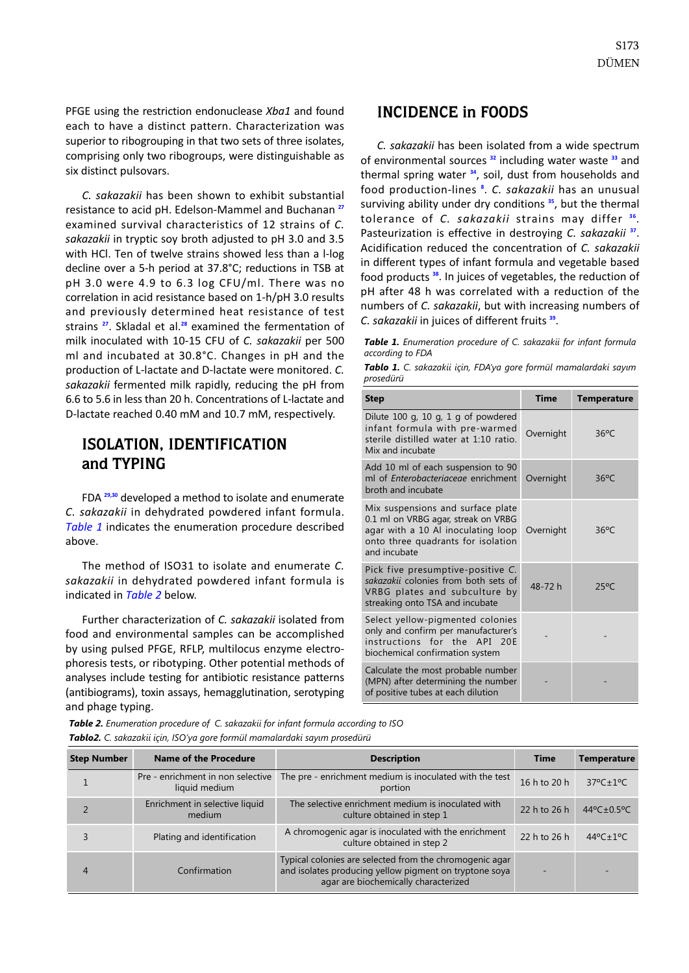PFGE using the restriction endonuclease *Xba1* and found each to have a distinct pattern. Characterization was superior to ribogrouping in that two sets of three isolates, comprising only two ribogroups, were distinguishable as six distinct pulsovars.

*C. sakazakii* has been shown to exhibit substantial resistance to acid pH. Edelson-Mammel and Buchanan **[27](#page-6-0)** examined survival characteristics of 12 strains of *C. sakazakii* in tryptic soy broth adjusted to pH 3.0 and 3.5 with HCl. Ten of twelve strains showed less than a l-log decline over a 5-h period at 37.8°C; reductions in TSB at pH 3.0 were 4.9 to 6.3 log CFU/ml. There was no correlation in acid resistance based on 1-h/pH 3.0 results and previously determined heat resistance of test strains **[27](#page-6-0)**. Skladal et al.**[28](#page-6-0)** examined the fermentation of milk inoculated with 10-15 CFU of *C. sakazakii* per 500 ml and incubated at 30.8°C. Changes in pH and the production of L-lactate and D-lactate were monitored. *C. sakazakii* fermented milk rapidly, reducing the pH from 6.6 to 5.6 in less than 20 h. Concentrations of L-lactate and D-lactate reached 0.40 mM and 10.7 mM, respectively.

## **ISOLATION, IDENTIFICATION**  and TYPING

FDA **[29,30](#page-6-0)** developed a method to isolate and enumerate *C. sakazakii* in dehydrated powdered infant formula. *Table 1* indicates the enumeration procedure described above.

The method of ISO31 to isolate and enumerate *C. sakazakii* in dehydrated powdered infant formula is indicated in *Table 2* below.

Further characterization of *C. sakazakii* isolated from food and environmental samples can be accomplished by using pulsed PFGE, RFLP, multilocus enzyme electrophoresis tests, or ribotyping. Other potential methods of analyses include testing for antibiotic resistance patterns (antibiograms), toxin assays, hemagglutination, serotyping and phage typing.

#### **INCIDENCE in FOODS**

*C. sakazakii* has been isolated from a wide spectrum of environmental sources **<sup>32</sup>** including water waste **<sup>33</sup>** and thermal spring water **<sup>34</sup>**, soil, dust from households and food production-lines **<sup>8</sup>** . *C. sakazakii* has an unusual surviving ability under dry conditions **<sup>35</sup>**, but the thermal tolerance of *C. sakazakii* strains may differ **<sup>36</sup>**. Pasteurization is effective in destroying *C. sakazakii* **<sup>37</sup>**. Acidification reduced the concentration of *C. sakazakii*  in different types of infant formula and vegetable based food products **<sup>38</sup>**. In juices of vegetables, the reduction of pH after 48 h was correlated with a reduction of the numbers of *C. sakazakii*, but with increasing numbers of *C. sakazakii* in juices of different fruits **<sup>39</sup>**.

*Table 1. Enumeration procedure of C. sakazakii for infant formula according to FDA* 

*Tablo 1. C. sakazakii için, FDA'ya gore formül mamalardaki sayım prosedürü* 

| <b>Step</b>                                                                                                                                                          | <b>Time</b> | <b>Temperature</b> |  |
|----------------------------------------------------------------------------------------------------------------------------------------------------------------------|-------------|--------------------|--|
| Dilute 100 g, 10 g, 1 g of powdered<br>infant formula with pre-warmed<br>sterile distilled water at 1:10 ratio.<br>Mix and incubate                                  | Overnight   | $36^{\circ}$ C     |  |
| Add 10 ml of each suspension to 90<br>ml of <i>Enterobacteriaceae</i> enrichment<br>broth and incubate                                                               | Overnight   | $36^{\circ}$ C     |  |
| Mix suspensions and surface plate<br>0.1 ml on VRBG agar, streak on VRBG<br>agar with a 10 Al inoculating loop<br>onto three quadrants for isolation<br>and incubate | Overnight   | $36^{\circ}$ C     |  |
| Pick five presumptive-positive C.<br>sakazakii colonies from both sets of<br>VRBG plates and subculture by<br>streaking onto TSA and incubate                        | 48-72 h     | $25^{\circ}$ C     |  |
| Select yellow-pigmented colonies<br>only and confirm per manufacturer's<br>instructions for the API 20F<br>biochemical confirmation system                           |             |                    |  |
| Calculate the most probable number<br>(MPN) after determining the number<br>of positive tubes at each dilution                                                       |             |                    |  |

*Table 2. Enumeration procedure of C. sakazakii for infant formula according to ISO Tablo2. C. sakazakii için, ISO'ya gore formül mamalardaki sayım prosedürü* 

| <b>Step Number</b> | <b>Name of the Procedure</b>                       | <b>Description</b>                                                                                                                                        | <b>Time</b>  | <b>Temperature</b>       |
|--------------------|----------------------------------------------------|-----------------------------------------------------------------------------------------------------------------------------------------------------------|--------------|--------------------------|
|                    | Pre - enrichment in non selective<br>liquid medium | The pre - enrichment medium is inoculated with the test<br>portion                                                                                        | 16 h to 20 h | $37^{\circ}$ C $\pm$ 1°C |
|                    | Enrichment in selective liquid<br>medium           | The selective enrichment medium is inoculated with<br>culture obtained in step 1                                                                          | 22 h to 26 h | 44°C $\pm$ 0.5°C         |
|                    | Plating and identification                         | A chromogenic agar is inoculated with the enrichment<br>culture obtained in step 2                                                                        | 22 h to 26 h | 44°C±1°C                 |
| 4                  | Confirmation                                       | Typical colonies are selected from the chromogenic agar<br>and isolates producing yellow pigment on tryptone soya<br>agar are biochemically characterized | -            |                          |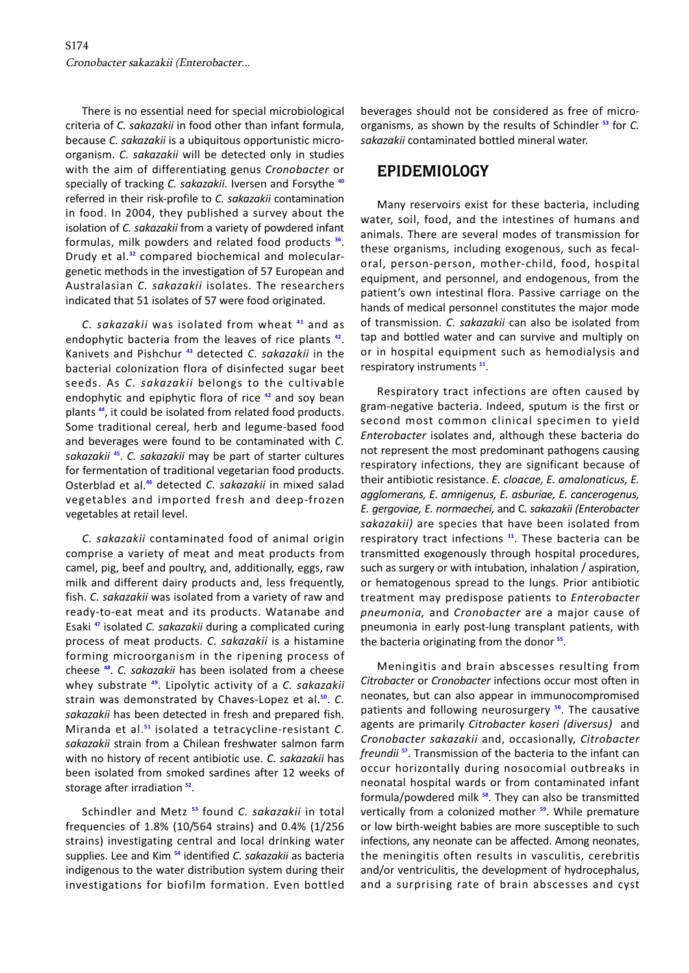There is no essential need for special microbiological criteria of *C. sakazakii* in food other than infant formula, because *C. sakazakii* is a ubiquitous opportunistic microorganism. *C. sakazakii* will be detected only in studies with the aim of differentiating genus *Cronobacter* or specially of tracking *C. sakazakii*. Iversen and Forsythe **[40](#page-7-0)** referred in their risk-profile to *C. sakazakii* contamination in food. In 2004, they published a survey about the isolation of *C. sakazakii* from a variety of powdered infant formulas, milk powders and related food products **[36](#page-7-0)**. Drudy et al.**[32](#page-6-0)** compared biochemical and moleculargenetic methods in the investigation of 57 European and Australasian *C. sakazakii* isolates. The researchers indicated that 51 isolates of 57 were food originated.

*C. sakazakii* was isolated from wheat **[41](#page-7-0)** and as endophytic bacteria from the leaves of rice plants **[42](#page-7-0)**. Kanivets and Pishchur **[43](#page-7-0)** detected *C. sakazakii* in the bacterial colonization flora of disinfected sugar beet seeds. As *C. sakazakii* belongs to the cultivable endophytic and epiphytic flora of rice **[42](#page-7-0)** and soy bean plants **[44](#page-7-0)**, it could be isolated from related food products. Some traditional cereal, herb and legume-based food and beverages were found to be contaminated with *C. sakazakii* **[45](#page-7-0)**. *C. sakazakii* may be part of starter cultures for fermentation of traditional vegetarian food products. Osterblad et al.**[46](#page-7-0)** detected *C. sakazakii* in mixed salad vegetables and imported fresh and deep-frozen vegetables at retail level.

*C. sakazakii* contaminated food of animal origin comprise a variety of meat and meat products from camel, pig, beef and poultry, and, additionally, eggs, raw milk and different dairy products and, less frequently, fish. *C. sakazakii* was isolated from a variety of raw and ready-to-eat meat and its products. Watanabe and Esaki **[47](#page-7-0)** isolated *C. sakazakii* during a complicated curing process of meat products. *C. sakazakii* is a histamine forming microorganism in the ripening process of cheese **[48](#page-7-0)**. *C. sakazakii* has been isolated from a cheese whey substrate **[49](#page-7-0)**. Lipolytic activity of a *C. sakazakii*  strain was demonstrated by Chaves-Lopez et al.**[50](#page-7-0)**. *C. sakazakii* has been detected in fresh and prepared fish. Miranda et al.**[51](#page-7-0)** isolated a tetracycline-resistant *C. sakazakii* strain from a Chilean freshwater salmon farm with no history of recent antibiotic use. *C. sakazakii* has been isolated from smoked sardines after 12 weeks of storage after irradiation **[52](#page-7-0)**.

Schindler and Metz **[53](#page-7-0)** found *C. sakazakii* in total frequencies of 1.8% (10/564 strains) and 0.4% (1/256 strains) investigating central and local drinking water supplies. Lee and Kim **[54](#page-7-0)** identified *C. sakazakii* as bacteria indigenous to the water distribution system during their investigations for biofilm formation. Even bottled beverages should not be considered as free of microorganisms, as shown by the results of Schindler **<sup>53</sup>** for *C. sakazakii* contaminated bottled mineral water.

#### **EPIDEMIOLOGY**

Many reservoirs exist for these bacteria, including water, soil, food, and the intestines of humans and animals. There are several modes of transmission for these organisms, including exogenous, such as fecaloral, person-person, mother-child, food, hospital equipment, and personnel, and endogenous, from the patient's own intestinal flora. Passive carriage on the hands of medical personnel constitutes the major mode of transmission. *C. sakazakii* can also be isolated from tap and bottled water and can survive and multiply on or in hospital equipment such as hemodialysis and respiratory instruments **[11](#page-6-0)**.

Respiratory tract infections are often caused by gram-negative bacteria. Indeed, sputum is the first or second most common clinical specimen to yield *Enterobacter* isolates and, although these bacteria do not represent the most predominant pathogens causing respiratory infections, they are significant because of their antibiotic resistance. *E. cloacae, E. amalonaticus, E. agglomerans, E. amnigenus, E. asburiae, E. cancerogenus, E. gergoviae, E. normaechei,* and C*. sakazakii (Enterobacter sakazakii)* are species that have been isolated from respiratory tract infections **[11](#page-6-0)**. These bacteria can be transmitted exogenously through hospital procedures, such as surgery or with intubation, inhalation / aspiration, or hematogenous spread to the lungs. Prior antibiotic treatment may predispose patients to *Enterobacter pneumonia,* and *Cronobacter* are a major cause of pneumonia in early post-lung transplant patients, with the bacteria originating from the donor **[55](#page-7-0)**.

Meningitis and brain abscesses resulting from *Citrobacter* or *Cronobacter* infections occur most often in neonates, but can also appear in immunocompromised patients and following neurosurgery **[56](#page-7-0)**. The causative agents are primarily *Citrobacter koseri (diversus)* and *Cronobacter sakazakii* and, occasionally, *Citrobacter freundii* **[57](#page-7-0)**. Transmission of the bacteria to the infant can occur horizontally during nosocomial outbreaks in neonatal hospital wards or from contaminated infant formula/powdered milk **[58](#page-7-0)**. They can also be transmitted vertically from a colonized mother **[59](#page-7-0)**. While premature or low birth-weight babies are more susceptible to such infections, any neonate can be affected. Among neonates, the meningitis often results in vasculitis, cerebritis and/or ventriculitis, the development of hydrocephalus, and a surprising rate of brain abscesses and cyst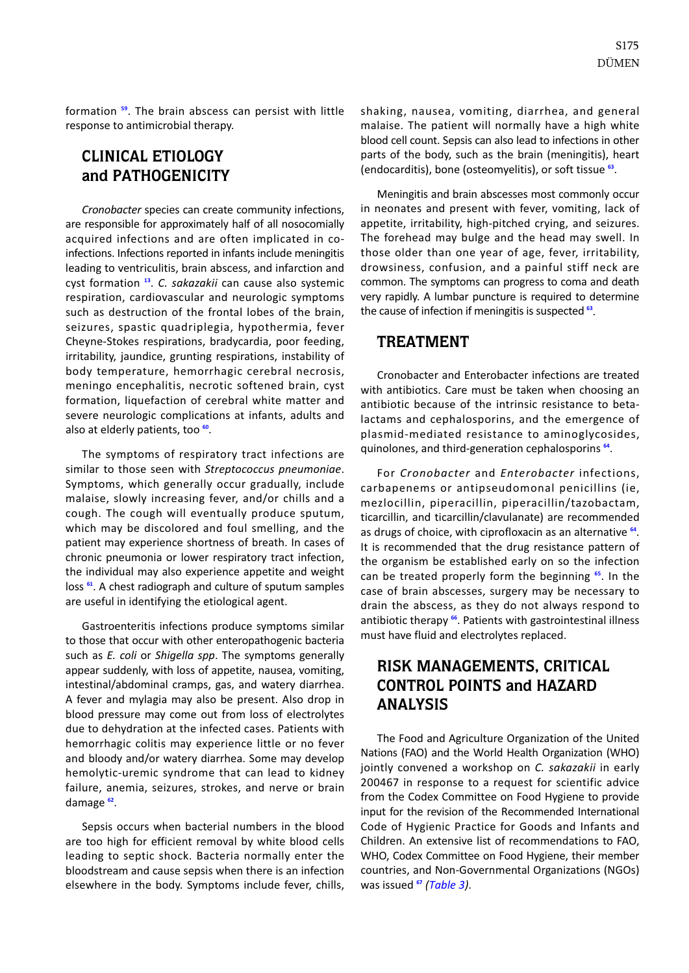formation **[59](#page-7-0)**. The brain abscess can persist with little response to antimicrobial therapy.

### **CLINICAL ETIOLOGY and PATHOGENICITY**

*Cronobacter* species can create community infections, are responsible for approximately half of all nosocomially acquired infections and are often implicated in coinfections. Infections reported in infants include meningitis leading to ventriculitis, brain abscess, and infarction and cyst formation **[13](#page-6-0)**. *C. sakazakii* can cause also systemic respiration, cardiovascular and neurologic symptoms such as destruction of the frontal lobes of the brain, seizures, spastic quadriplegia, hypothermia, fever Cheyne-Stokes respirations, bradycardia, poor feeding, irritability, jaundice, grunting respirations, instability of body temperature, hemorrhagic cerebral necrosis, meningo encephalitis, necrotic softened brain, cyst formation, liquefaction of cerebral white matter and severe neurologic complications at infants, adults and also at elderly patients, too **[60](#page-7-0)**.

The symptoms of respiratory tract infections are similar to those seen with *Streptococcus pneumoniae*. Symptoms, which generally occur gradually, include malaise, slowly increasing fever, and/or chills and a cough. The cough will eventually produce sputum, which may be discolored and foul smelling, and the patient may experience shortness of breath. In cases of chronic pneumonia or lower respiratory tract infection, the individual may also experience appetite and weight loss **[61](#page-7-0)**. A chest radiograph and culture of sputum samples are useful in identifying the etiological agent.

Gastroenteritis infections produce symptoms similar to those that occur with other enteropathogenic bacteria such as *E. coli* or *Shigella spp*. The symptoms generally appear suddenly, with loss of appetite, nausea, vomiting, intestinal/abdominal cramps, gas, and watery diarrhea. A fever and mylagia may also be present. Also drop in blood pressure may come out from loss of electrolytes due to dehydration at the infected cases. Patients with hemorrhagic colitis may experience little or no fever and bloody and/or watery diarrhea. Some may develop hemolytic-uremic syndrome that can lead to kidney failure, anemia, seizures, strokes, and nerve or brain damage **[62](#page-7-0)**.

Sepsis occurs when bacterial numbers in the blood are too high for efficient removal by white blood cells leading to septic shock. Bacteria normally enter the bloodstream and cause sepsis when there is an infection elsewhere in the body. Symptoms include fever, chills, shaking, nausea, vomiting, diarrhea, and general malaise. The patient will normally have a high white blood cell count. Sepsis can also lead to infections in other parts of the body, such as the brain (meningitis), heart (endocarditis), bone (osteomyelitis), or soft tissue **[63](#page-7-0)**.

Meningitis and brain abscesses most commonly occur in neonates and present with fever, vomiting, lack of appetite, irritability, high-pitched crying, and seizures. The forehead may bulge and the head may swell. In those older than one year of age, fever, irritability, drowsiness, confusion, and a painful stiff neck are common. The symptoms can progress to coma and death very rapidly. A lumbar puncture is required to determine the cause of infection if meningitis is suspected **[63](#page-7-0)**.

#### **TREATMENT**

Cronobacter and Enterobacter infections are treated with antibiotics. Care must be taken when choosing an antibiotic because of the intrinsic resistance to betalactams and cephalosporins, and the emergence of plasmid-mediated resistance to aminoglycosides, quinolones, and third-generation cephalosporins **[64](#page-7-0)**.

For *Cronobacter* and *Enterobacter* infections, carbapenems or antipseudomonal penicillins (ie, mezlocillin, piperacillin, piperacillin/tazobactam, ticarcillin, and ticarcillin/clavulanate) are recommended as drugs of choice, with ciprofloxacin as an alternative **[64](#page-7-0)**. It is recommended that the drug resistance pattern of the organism be established early on so the infection can be treated properly form the beginning **[65](#page-7-0)**. In the case of brain abscesses, surgery may be necessary to drain the abscess, as they do not always respond to antibiotic therapy **[66](#page-7-0)**. Patients with gastrointestinal illness must have fluid and electrolytes replaced.

## **RISK MANAGEMENTS, CRITICAL CONTROL POINTS and HAZARD ANALYSIS**

The Food and Agriculture Organization of the United Nations (FAO) and the World Health Organization (WHO) jointly convened a workshop on *C. sakazakii* in early 200467 in response to a request for scientific advice from the Codex Committee on Food Hygiene to provide input for the revision of the Recommended International Code of Hygienic Practice for Goods and Infants and Children. An extensive list of recommendations to FAO, WHO, Codex Committee on Food Hygiene, their member countries, and Non-Governmental Organizations (NGOs) was issued **[67](#page-7-0)** *([Table 3\)](#page-5-0)*.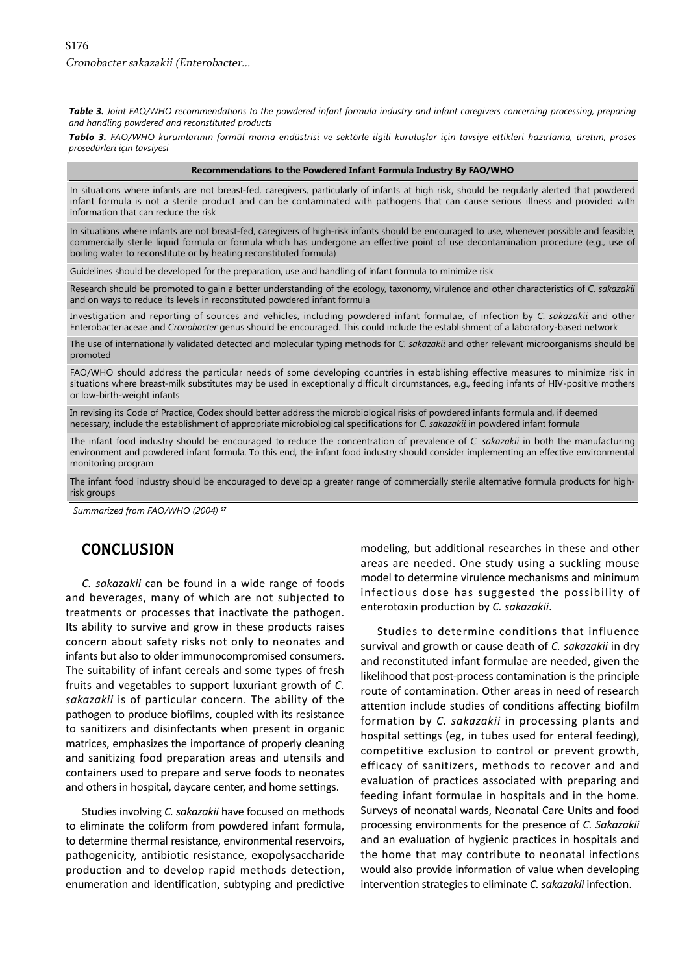<span id="page-5-0"></span>*Table 3. Joint FAO/WHO recommendations to the powdered infant formula industry and infant caregivers concerning processing, preparing and handling powdered and reconstituted products* 

*Tablo 3. FAO/WHO kurumlarının formül mama endüstrisi ve sektörle ilgili kuruluşlar için tavsiye ettikleri hazırlama, üretim, proses prosedürleri için tavsiyesi* 

#### **Recommendations to the Powdered Infant Formula Industry By FAO/WHO**

In situations where infants are not breast-fed, caregivers, particularly of infants at high risk, should be regularly alerted that powdered infant formula is not a sterile product and can be contaminated with pathogens that can cause serious illness and provided with information that can reduce the risk

In situations where infants are not breast-fed, caregivers of high-risk infants should be encouraged to use, whenever possible and feasible, commercially sterile liquid formula or formula which has undergone an effective point of use decontamination procedure (e.g., use of boiling water to reconstitute or by heating reconstituted formula)

Guidelines should be developed for the preparation, use and handling of infant formula to minimize risk

Research should be promoted to gain a better understanding of the ecology, taxonomy, virulence and other characteristics of *C. sakazakii*  and on ways to reduce its levels in reconstituted powdered infant formula

Investigation and reporting of sources and vehicles, including powdered infant formulae, of infection by *C. sakazakii* and other Enterobacteriaceae and *Cronobacter* genus should be encouraged. This could include the establishment of a laboratory-based network

The use of internationally validated detected and molecular typing methods for *C. sakazakii* and other relevant microorganisms should be promoted

FAO/WHO should address the particular needs of some developing countries in establishing effective measures to minimize risk in situations where breast-milk substitutes may be used in exceptionally difficult circumstances, e.g., feeding infants of HIV-positive mothers or low-birth-weight infants

In revising its Code of Practice, Codex should better address the microbiological risks of powdered infants formula and, if deemed necessary, include the establishment of appropriate microbiological specifications for *C. sakazakii* in powdered infant formula

The infant food industry should be encouraged to reduce the concentration of prevalence of *C. sakazakii* in both the manufacturing environment and powdered infant formula. To this end, the infant food industry should consider implementing an effective environmental monitoring program

The infant food industry should be encouraged to develop a greater range of commercially sterile alternative formula products for highrisk groups

*Summarized from FAO/WHO (2004) <sup>67</sup>*

#### **CONCLUSION**

*C. sakazakii* can be found in a wide range of foods and beverages, many of which are not subjected to treatments or processes that inactivate the pathogen. Its ability to survive and grow in these products raises concern about safety risks not only to neonates and infants but also to older immunocompromised consumers. The suitability of infant cereals and some types of fresh fruits and vegetables to support luxuriant growth of *C. sakazakii* is of particular concern. The ability of the pathogen to produce biofilms, coupled with its resistance to sanitizers and disinfectants when present in organic matrices, emphasizes the importance of properly cleaning and sanitizing food preparation areas and utensils and containers used to prepare and serve foods to neonates and others in hospital, daycare center, and home settings.

Studies involving *C. sakazakii* have focused on methods to eliminate the coliform from powdered infant formula, to determine thermal resistance, environmental reservoirs, pathogenicity, antibiotic resistance, exopolysaccharide production and to develop rapid methods detection, enumeration and identification, subtyping and predictive modeling, but additional researches in these and other areas are needed. One study using a suckling mouse model to determine virulence mechanisms and minimum infectious dose has suggested the possibility of enterotoxin production by *C. sakazakii*.

Studies to determine conditions that influence survival and growth or cause death of *C. sakazakii* in dry and reconstituted infant formulae are needed, given the likelihood that post-process contamination is the principle route of contamination. Other areas in need of research attention include studies of conditions affecting biofilm formation by *C. sakazakii* in processing plants and hospital settings (eg, in tubes used for enteral feeding), competitive exclusion to control or prevent growth, efficacy of sanitizers, methods to recover and and evaluation of practices associated with preparing and feeding infant formulae in hospitals and in the home. Surveys of neonatal wards, Neonatal Care Units and food processing environments for the presence of *C. Sakazakii*  and an evaluation of hygienic practices in hospitals and the home that may contribute to neonatal infections would also provide information of value when developing intervention strategies to eliminate *C. sakazakii* infection.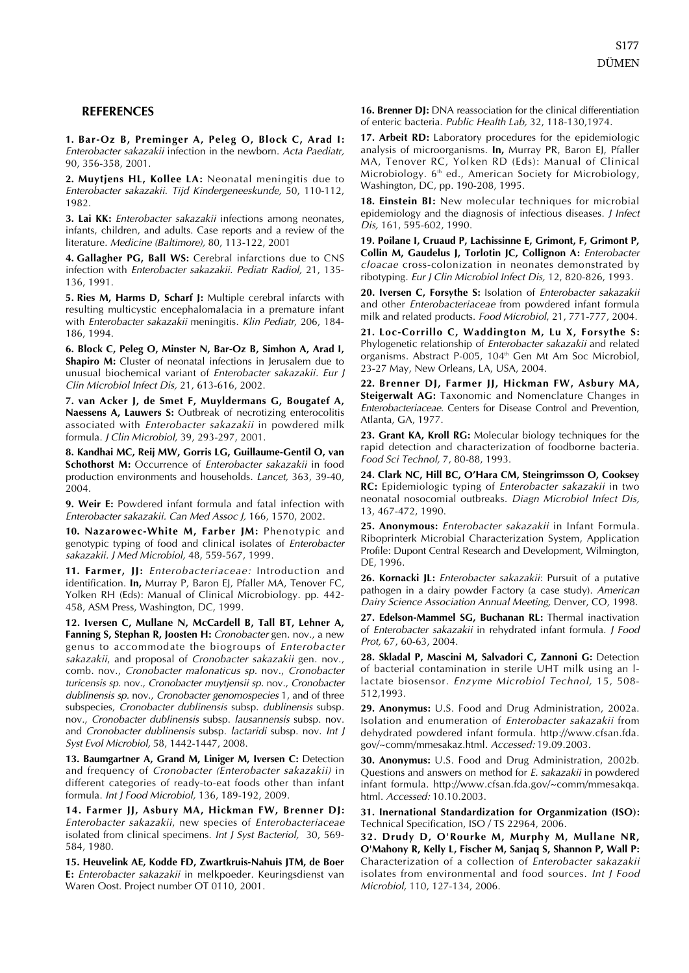#### <span id="page-6-0"></span>**REFERENCES**

**1. Bar-Oz B, Preminger A, Peleg O, Block C, Arad I:**  Enterobacter sakazakii infection in the newborn. Acta Paediatr, 90, 356-358, 2001.

**2. Muytjens HL, Kollee LA:** Neonatal meningitis due to Enterobacter sakazakii. Tijd Kindergeneeskunde, 50, 110-112, 1982.

**3. Lai KK:** Enterobacter sakazakii infections among neonates, infants, children, and adults. Case reports and a review of the literature. Medicine (Baltimore), 80, 113-122, 2001

**4. Gallagher PG, Ball WS:** Cerebral infarctions due to CNS infection with Enterobacter sakazakii. Pediatr Radiol, 21, 135 136, 1991.

**5. Ries M, Harms D, Scharf J:** Multiple cerebral infarcts with resulting multicystic encephalomalacia in a premature infant with Enterobacter sakazakii meningitis. Klin Pediatr, 206, 184-186, 1994.

**6. Block C, Peleg O, Minster N, Bar-Oz B, Simhon A, Arad I, Shapiro M:** Cluster of neonatal infections in Jerusalem due to unusual biochemical variant of Enterobacter sakazakii. Eur J Clin Microbiol Infect Dis, 21, 613-616, 2002.

**7. van Acker J, de Smet F, Muyldermans G, Bougatef A, Naessens A, Lauwers S:** Outbreak of necrotizing enterocolitis associated with *Enterobacter sakazakii* in powdered milk formula. J Clin Microbiol, 39, 293-297, 2001.

**8. Kandhai MC, Reij MW, Gorris LG, Guillaume-Gentil O, van Schothorst M:** Occurrence of Enterobacter sakazakii in food production environments and households. Lancet, 363, 39-40, 2004.

**9. Weir E:** Powdered infant formula and fatal infection with Enterobacter sakazakii. Can Med Assoc J, 166, 1570, 2002.

**10. Nazarowec-White M, Farber JM:** Phenotypic and genotypic typing of food and clinical isolates of *Enterobacter* sakazakii. J Med Microbiol, 48, 559-567, 1999.

**11. Farmer, JJ:** Enterobacteriaceae: Introduction and identification. **In,** Murray P, Baron EJ, Pfaller MA, Tenover FC, Yolken RH (Eds): Manual of Clinical Microbiology. pp. 442 458, ASM Press, Washington, DC, 1999.

**12. Iversen C, Mullane N, McCardell B, Tall BT, Lehner A, Fanning S, Stephan R, Joosten H:** Cronobacter gen. nov., a new genus to accommodate the biogroups of Enterobacter sakazakii, and proposal of Cronobacter sakazakii gen. nov., comb. nov., Cronobacter malonaticus sp. nov., Cronobacter turicensis sp. nov., Cronobacter muytjensii sp. nov., Cronobacter dublinensis sp. nov., Cronobacter genomospecies 1, and of three subspecies, Cronobacter dublinensis subsp. dublinensis subsp. nov., Cronobacter dublinensis subsp. lausannensis subsp. nov. and Cronobacter dublinensis subsp. lactaridi subsp. nov. Int J Syst Evol Microbiol, 58, 1442-1447, 2008.

**13. Baumgartner A, Grand M, Liniger M, Iversen C:** Detection and frequency of Cronobacter (Enterobacter sakazakii) in different categories of ready-to-eat foods other than infant formula. Int J Food Microbiol, 136, 189-192, 2009.

**14. Farmer JJ, Asbury MA, Hickman FW, Brenner DJ:**  Enterobacter sakazakii, new species of Enterobacteriaceae isolated from clinical specimens. Int J Syst Bacteriol, 30, 569-584, 1980.

**15. Heuvelink AE, Kodde FD, Zwartkruis-Nahuis JTM, de Boer E:** Enterobacter sakazakii in melkpoeder. Keuringsdienst van Waren Oost. Project number OT 0110, 2001.

16. Brenner DJ: DNA reassociation for the clinical differentiation of enteric bacteria. Public Health Lab, 32, 118-130,1974.

**17. Arbeit RD:** Laboratory procedures for the epidemiologic analysis of microorganisms. **In,** Murray PR, Baron EJ, Pfaller MA, Tenover RC, Yolken RD (Eds): Manual of Clinical Microbiology.  $6<sup>th</sup>$  ed., American Society for Microbiology, Washington, DC, pp. 190-208, 1995.

**18. Einstein BI:** New molecular techniques for microbial epidemiology and the diagnosis of infectious diseases. J Infect Dis, 161, 595-602, 1990.

**19. Poilane I, Cruaud P, Lachissinne E, Grimont, F, Grimont P, Collin M, Gaudelus J, Torlotin JC, Collignon A:** Enterobacter cloacae cross-colonization in neonates demonstrated by ribotyping. Eur J Clin Microbiol Infect Dis, 12, 820-826, 1993.

**20. Iversen C, Forsythe S:** Isolation of Enterobacter sakazakii and other *Enterobacteriaceae* from powdered infant formula milk and related products. Food Microbiol, 21, 771-777, 2004.

**21. Loc-Corrillo C, Waddington M, Lu X, Forsythe S:**  Phylogenetic relationship of Enterobacter sakazakii and related organisms. Abstract P-005, 104<sup>th</sup> Gen Mt Am Soc Microbiol, 23-27 May, New Orleans, LA, USA, 2004.

**22. Brenner DJ, Farmer JJ, Hickman FW, Asbury MA, Steigerwalt AG:** Taxonomic and Nomenclature Changes in Enterobacteriaceae. Centers for Disease Control and Prevention, Atlanta, GA, 1977.

**23. Grant KA, Kroll RG:** Molecular biology techniques for the rapid detection and characterization of foodborne bacteria. Food Sci Technol, 7, 80-88, 1993.

**24. Clark NC, Hill BC, O'Hara CM, Steingrimsson O, Cooksey RC:** Epidemiologic typing of Enterobacter sakazakii in two neonatal nosocomial outbreaks. Diagn Microbiol Infect Dis, 13, 467-472, 1990.

**25. Anonymous:** Enterobacter sakazakii in Infant Formula. Riboprinterk Microbial Characterization System, Application Profile: Dupont Central Research and Development, Wilmington, DE, 1996.

26. Kornacki JL: *Enterobacter sakazakii*: Pursuit of a putative pathogen in a dairy powder Factory (a case study). American Dairy Science Association Annual Meeting, Denver, CO, 1998.

**27. Edelson-Mammel SG, Buchanan RL:** Thermal inactivation of Enterobacter sakazakii in rehydrated infant formula. J Food Prot, 67, 60-63, 2004.

**28. Skladal P, Mascini M, Salvadori C, Zannoni G:** Detection of bacterial contamination in sterile UHT milk using an l lactate biosensor. Enzyme Microbiol Technol, 15, 508 512,1993.

**29. Anonymus:** U.S. Food and Drug Administration, 2002a. Isolation and enumeration of Enterobacter sakazakii from dehydrated powdered infant formula. http://www.cfsan.fda. gov/~comm/mmesakaz.html. Accessed: 19.09.2003.

**30. Anonymus:** U.S. Food and Drug Administration, 2002b. Questions and answers on method for E. sakazakii in powdered infant formula. http://www.cfsan.fda.gov/~comm/mmesakqa. html. Accessed: 10.10.2003.

**31. Inernational Standardization for Organmization (ISO):**  Technical Specification, ISO / TS 22964, 2006.

**32. Drudy D, O'Rourke M, Murphy M, Mullane NR, O'Mahony R, Kelly L, Fischer M, Sanjaq S, Shannon P, Wall P:**  Characterization of a collection of Enterobacter sakazakii isolates from environmental and food sources. Int J Food Microbiol, 110, 127-134, 2006.